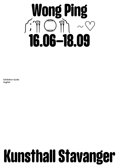

Exhibition Guide English

# Kunsthall Stavanger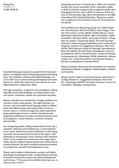Kunsthall Stavanger is proud to present the first solo exhibition in Scandinavia by the Hong Kong-based artist Wong Ping. The exhibition continues Kunsthall Stavanger's focus in 2021–22 on artists working with digital and screenbased art, which will culminate in the launch of a new digital platform in September 2022.

Through animations, sculptures and installations, Wong Ping tells stories that challenge our habitual ideas of human desire, loneliness, shame and repressed sexuality.

Wong's animations are rendered in a bright aesthetic reminiscent of early video games. This light-hearted, humorous, and accessible visual language helps to diffuse lewd and offbeat stories that explore dark corners of human nature, in which protagonists often experience deep psychological issues, as well as simultaneously disguising meditations on larger societal structures such as immigration, social relations, economic anxieties, and morality.

As a Hong Kong native, Wong's observations of the city's residents' daily lives and mindsets are a central element in his works, where he presents reflections on the changing social and economic environment in the region, with emphasis on Hong Kong's tense relations with mainland China. In the context of a community under siege, specifically wherein political dissent has become tantamount to criminal behavior, the artist's playfully subversive practice is as important, powerful and progressive as any.

Wong's work creates a hallucinatory, surreal, and frightening image of contemporary life. In describing his practice, he points to his favorite song by The Velvet Underground and its lines, "I'll be your mirror/Reflect what you are, in case you don't know".

Wong Ping was born in Hong Kong in 1984, and received his BA from Curtin University, Perth, Australia in 2005. In 2018, he was the recipient of the inaugural Camden Arts Emerging Arts Prize, and in 2019, he was one of the winners of The Ammodo Tiger Short Competition at the 48th International Film Festival Rotterdam. Wong has completed a residency at the Chinese Centre for Contemporary Art (2015).

Solo exhibitions by Wong Ping include *Your Silent Neighbor*, New Museum, New York (2021); *Heart Digger*, Camden Arts Centre, London (2019); *Golden Shower*, Kunsthalle Basel, Switzerland (2019); *Who's the Daddy*, CAPRI, Düsseldorf, Germany (2018); and *Jungle of Desire*, Things that can happen, Hong Kong (2015). His work has been featured in important group exhibitions such as *One Hand Clapping*, Solomon R. Guggenheim Museum, New York (2018); 2018 Triennial: *Songs for Sabotage*, New Museum, New York (2018); *XO State Dark: Aristophanes*, Arts Centre Melbourne (2017); *RareKind China*, Centre for Chinese Contemporary Art, Manchester (2016); *Mobile M+: Moving Images*, M+, Hong Kong (2015); and *Essential Matters*, Borusan Contemporary, Istanbul (2015).

Wong's animation films have been presented at numerous international festivals, in Belgium, United Kingdom, Mexico and Australia.

Wong's work is held in several permanent collections including Solomon R. Guggenheim Museum, New York; M+, Hong Kong; KADIST, Paris/San Francisco; Fosun Art Foundation, Shanghai, among others.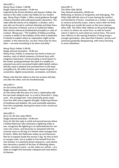#### GALLERY 1

# *Wong Ping's Fables 1* (2018)

Single channel animation, 13:00 min Inspired by the Grimm Brothers and Aesop's Fables, the stories in the video create new fables for our modern age. *Wong Ping's Fables 1* offers moral guidance through a bizarre storyline with anthropomorphic characters. The video tells the stories of an elephant, a chicken, and a tree who are forced to confront obstacles and their fears. Each character is flawed, and as in traditional fables, their stories reference fundamental principles or rules of conduct. Wong says: "The tradition of fables providing a maxim is similar to the tradition of the artist's statement: It intends to explain where an explanation might not be needed. In the Internet Era, we don't have time for fairy tales — we want everything to be short and pithy."

#### *Wong Ping's Fables 2* (2019)

#### Single channel animation, 13:00 min

*Wong Ping's Fables 2* comprises two back-to-back animations, each of which presents a fictional story with imaginary characters, communicating a moral lesson to the viewer. Jumping between the tales of a wealthy imprisoned cow and a con-joined triplet rabbit (which visitors will also meet in physical and oversized form in the foyer and gallery 5), the video touches upon issues of greed, incarceration, digital consumerism, narcissism, and desire.

Please note that the videos on the two screens will play one after the other, and not simultaneously.

#### GALLERY 2

#### *An Emo Nose* (2015)

Single channel animation, 04:23 min *An Emo Nose* tells the story of a man's relationship with his own heart-shaped nose. In a nod to Pinocchio's 'lying nose', the protagonists' nose physically grows away from him with every negative thought. Exploring themes of loneliness and isolation, the nose eventually separates from him completely, leaving him alone to be a social outcast or 'emo'.

## GALLERY 3

## *Sorry for the late reply* (2021)

Single channel animation, 15:00 min *Sorry for the late reply* is a dark and surreal journey where a hobby fisherman who witnesses a lightning strike at sea, recognizes the lightning in an advertisement for varicose vein cream, and becomes so obsessed with the varicose veins on the leg of a female sales manager that he faints. When the fisherman wakes up and discovers that he is trapped inside the woman's leg, he tries to find an escape route, but is unable to free himself from his own fantasy. In a painterly dream sequence, a pet chameleon becomes a symbol of the fear of offending others, while a cemetery scene — as the video as a whole — provides an insight into humanity's deepest and most shameful desires.

# GALLERY 4

*The Other Side* (2015) Two channel animation, 08:00 min

Reflecting on themes of emigration and belonging, *The Other Side* tells the story of a man leaving the comfort and familiarity of home, visualized as a mother's womb, to venture across the ocean, only to return after he finds that things are mostly the same on the more utopian other side. *The Other Sid*e reflects on the primal longing to return to where we came from, as well as human nature's desire to want what we cannot have. The work also reflects on the waning freedom of Hong Kong's younger generation, who sees their freedom, privacy and autonomy gradually disappearing, with many choosing to move elsewhere.